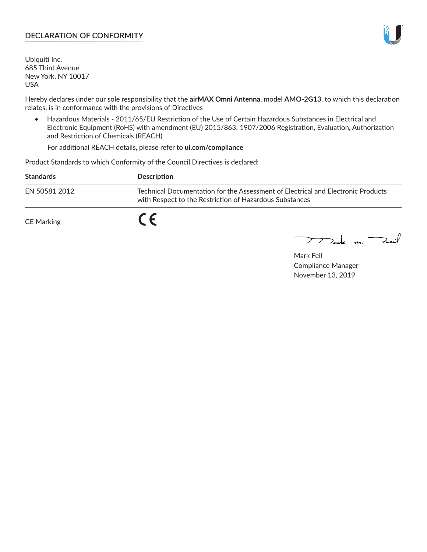### **DECLARATION OF CONFORMITY**

Ubiquiti Inc. 685 Third Avenue New York, NY 10017 USA

Hereby declares under our sole responsibility that the **airMAX Omni Antenna**, model **AMO-2G13**, to which this declaration relates, is in conformance with the provisions of Directives

• Hazardous Materials - 2011/65/EU Restriction of the Use of Certain Hazardous Substances in Electrical and Electronic Equipment (RoHS) with amendment (EU) 2015/863; 1907/2006 Registration, Evaluation, Authorization and Restriction of Chemicals (REACH)

For additional REACH details, please refer to **ui.com/compliance**

Product Standards to which Conformity of the Council Directives is declared:

| <b>Standards</b>  | Description                                                                                                                                 |
|-------------------|---------------------------------------------------------------------------------------------------------------------------------------------|
| EN 50581 2012     | Technical Documentation for the Assessment of Electrical and Electronic Products<br>with Respect to the Restriction of Hazardous Substances |
| <b>CE Marking</b> |                                                                                                                                             |

 $\sum_{n=1}^{\infty}$  un  $\sum_{n=1}^{\infty}$ 

Mark Feil Compliance Manager November 13, 2019

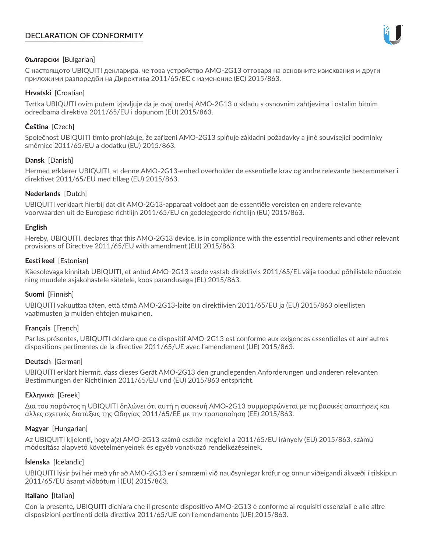# **DECLARATION OF CONFORMITY**



## **български** [Bulgarian]

С настоящото UBIQUITI декларира, че това устройство AMO-2G13 отговаря на основните изисквания и други приложими разпоредби на Директива 2011/65/ЕС с изменение (ЕС) 2015/863.

## **Hrvatski** [Croatian]

Tvrtka UBIQUITI ovim putem izjavljuje da je ovaj uređaj AMO-2G13 u skladu s osnovnim zahtjevima i ostalim bitnim odredbama direktiva 2011/65/EU i dopunom (EU) 2015/863.

# **Čeština** [Czech]

Společnost UBIQUITI tímto prohlašuje, že zařízení AMO-2G13 splňuje základní požadavky a jiné související podmínky směrnice 2011/65/EU a dodatku (EU) 2015/863.

### **Dansk** [Danish]

Hermed erklærer UBIQUITI, at denne AMO-2G13-enhed overholder de essentielle krav og andre relevante bestemmelser i direktivet 2011/65/EU med tillæg (EU) 2015/863.

### **Nederlands** [Dutch]

UBIQUITI verklaart hierbij dat dit AMO-2G13-apparaat voldoet aan de essentiële vereisten en andere relevante voorwaarden uit de Europese richtlijn 2011/65/EU en gedelegeerde richtlijn (EU) 2015/863.

#### **English**

Hereby, UBIQUITI, declares that this AMO-2G13 device, is in compliance with the essential requirements and other relevant provisions of Directive 2011/65/EU with amendment (EU) 2015/863.

### **Eesti keel** [Estonian]

Käesolevaga kinnitab UBIQUITI, et antud AMO-2G13 seade vastab direktiivis 2011/65/EL välja toodud põhilistele nõuetele ning muudele asjakohastele sätetele, koos parandusega (EL) 2015/863.

## **Suomi** [Finnish]

UBIQUITI vakuuttaa täten, että tämä AMO-2G13-laite on direktiivien 2011/65/EU ja (EU) 2015/863 oleellisten vaatimusten ja muiden ehtojen mukainen.

#### **Français** [French]

Par les présentes, UBIQUITI déclare que ce dispositif AMO-2G13 est conforme aux exigences essentielles et aux autres dispositions pertinentes de la directive 2011/65/UE avec l'amendement (UE) 2015/863.

## **Deutsch** [German]

UBIQUITI erklärt hiermit, dass dieses Gerät AMO-2G13 den grundlegenden Anforderungen und anderen relevanten Bestimmungen der Richtlinien 2011/65/EU und (EU) 2015/863 entspricht.

#### **Ελληνικά** [Greek]

Δια του παρόντος η UBIQUITI δηλώνει ότι αυτή η συσκευή AMO-2G13 συμμορφώνεται με τις βασικές απαιτήσεις και άλλες σχετικές διατάξεις της Οδηγίας 2011/65/ΕΕ με την τροποποίηση (ΕΕ) 2015/863.

## **Magyar** [Hungarian]

Az UBIQUITI kijelenti, hogy a(z) AMO-2G13 számú eszköz megfelel a 2011/65/EU irányelv (EU) 2015/863. számú módosítása alapvető követelményeinek és egyéb vonatkozó rendelkezéseinek.

#### **Íslenska** [Icelandic]

UBIQUITI lýsir því hér með yfir að AMO-2G13 er í samræmi við nauðsynlegar kröfur og önnur viðeigandi ákvæði í tilskipun 2011/65/EU ásamt viðbótum í (EU) 2015/863.

#### **Italiano** [Italian]

Con la presente, UBIQUITI dichiara che il presente dispositivo AMO-2G13 è conforme ai requisiti essenziali e alle altre disposizioni pertinenti della direttiva 2011/65/UE con l'emendamento (UE) 2015/863.